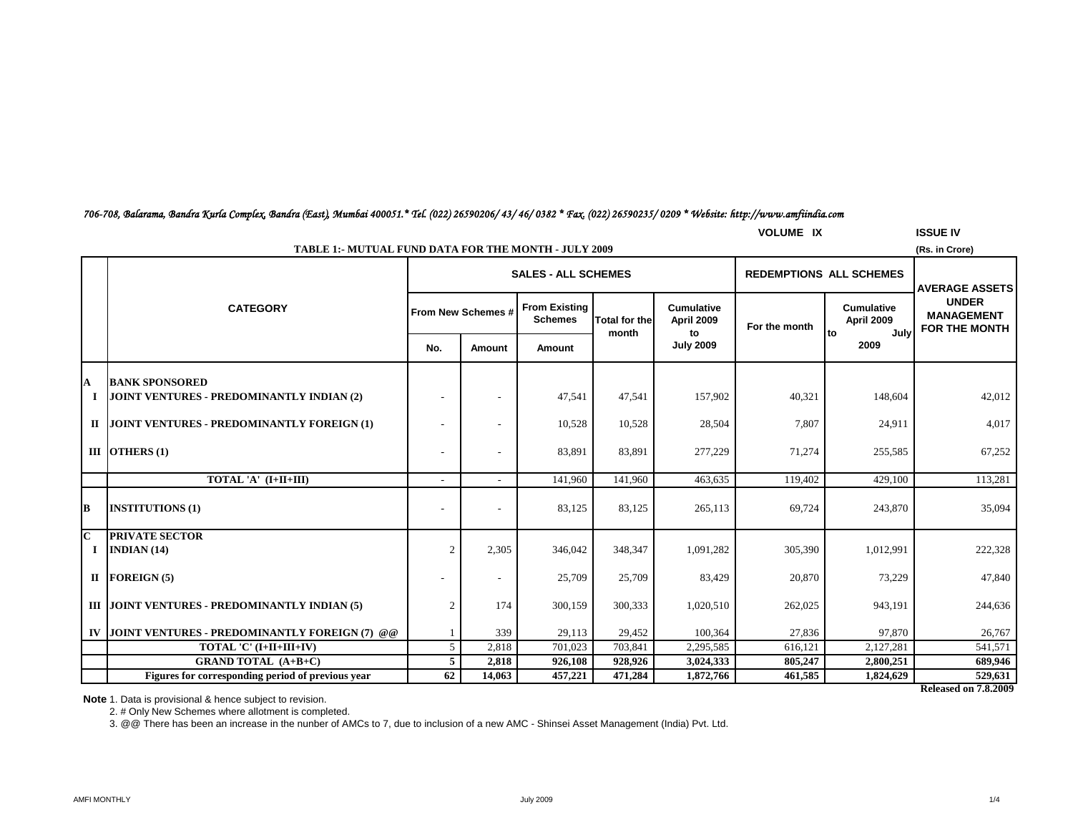## **VOLUME IX ISSUE IV**

*706-708, Balarama, Bandra Kurla Complex, Bandra (East), Mumbai 400051.\* Tel. (022) 26590206/ 43/ 46/ 0382 \* Fax. (022) 26590235/ 0209 \* Website: http://www.amfiindia.com*

| <b>TABLE 1:- MUTUAL FUND DATA FOR THE MONTH - JULY 2009</b><br>(Rs. in Crore) |                                                                    |        |                    |                                        |                      |                                 |               |                                 |                                                                                    |  |
|-------------------------------------------------------------------------------|--------------------------------------------------------------------|--------|--------------------|----------------------------------------|----------------------|---------------------------------|---------------|---------------------------------|------------------------------------------------------------------------------------|--|
|                                                                               |                                                                    |        |                    | <b>SALES - ALL SCHEMES</b>             |                      |                                 |               | <b>REDEMPTIONS ALL SCHEMES</b>  |                                                                                    |  |
|                                                                               | <b>CATEGORY</b>                                                    |        | From New Schemes # | <b>From Existing</b><br><b>Schemes</b> | <b>Total for the</b> | <b>Cumulative</b><br>April 2009 | For the month | <b>Cumulative</b><br>April 2009 | <b>AVERAGE ASSETS</b><br><b>UNDER</b><br><b>MANAGEMENT</b><br><b>FOR THE MONTH</b> |  |
|                                                                               |                                                                    | No.    | Amount             | Amount                                 | month                | to<br><b>July 2009</b>          |               | July<br>Ito<br>2009             |                                                                                    |  |
| A<br>Ι.                                                                       | <b>BANK SPONSORED</b><br>JOINT VENTURES - PREDOMINANTLY INDIAN (2) |        |                    | 47,541                                 | 47,541               | 157,902                         | 40,321        | 148,604                         | 42,012                                                                             |  |
| П                                                                             | JOINT VENTURES - PREDOMINANTLY FOREIGN (1)                         |        |                    | 10,528                                 | 10,528               | 28,504                          | 7,807         | 24,911                          | 4,017                                                                              |  |
|                                                                               | III OTHERS $(1)$                                                   |        |                    | 83,891                                 | 83,891               | 277,229                         | 71,274        | 255,585                         | 67,252                                                                             |  |
|                                                                               | TOTAL 'A' (I+II+III)                                               | $\sim$ |                    | 141,960                                | 141,960              | 463,635                         | 119,402       | 429,100                         | 113,281                                                                            |  |
| B                                                                             | <b>INSTITUTIONS (1)</b>                                            |        |                    | 83,125                                 | 83,125               | 265,113                         | 69,724        | 243,870                         | 35,094                                                                             |  |
| $\overline{c}$<br>Ι.                                                          | <b>PRIVATE SECTOR</b><br>INDIAN(14)                                | 2      | 2,305              | 346,042                                | 348,347              | 1,091,282                       | 305,390       | 1,012,991                       | 222,328                                                                            |  |
|                                                                               | II FOREIGN $(5)$                                                   |        |                    | 25,709                                 | 25,709               | 83,429                          | 20,870        | 73,229                          | 47,840                                                                             |  |
|                                                                               | III JOINT VENTURES - PREDOMINANTLY INDIAN (5)                      |        | 174                | 300,159                                | 300,333              | 1,020,510                       | 262,025       | 943,191                         | 244,636                                                                            |  |
| IV                                                                            | JOINT VENTURES - PREDOMINANTLY FOREIGN (7) @ @                     |        | 339                | 29,113                                 | 29,452               | 100,364                         | 27,836        | 97,870                          | 26,767                                                                             |  |
|                                                                               | TOTAL 'C' (I+II+III+IV)                                            | 5      | 2,818              | 701,023                                | 703,841              | 2,295,585                       | 616,121       | 2,127,281                       | 541,571                                                                            |  |
|                                                                               | <b>GRAND TOTAL (A+B+C)</b>                                         | 5      | 2,818              | 926,108                                | 928,926              | 3,024,333                       | 805,247       | 2,800,251                       | 689,946                                                                            |  |
|                                                                               | Figures for corresponding period of previous vear                  | 62     | 14,063             | 457,221                                | 471,284              | 1,872,766                       | 461,585       | 1,824,629                       | 529,631                                                                            |  |

**Released on 7.8.2009**

**Note** 1. Data is provisional & hence subject to revision.

2. # Only New Schemes where allotment is completed.

3. @@ There has been an increase in the nunber of AMCs to 7, due to inclusion of a new AMC - Shinsei Asset Management (India) Pvt. Ltd.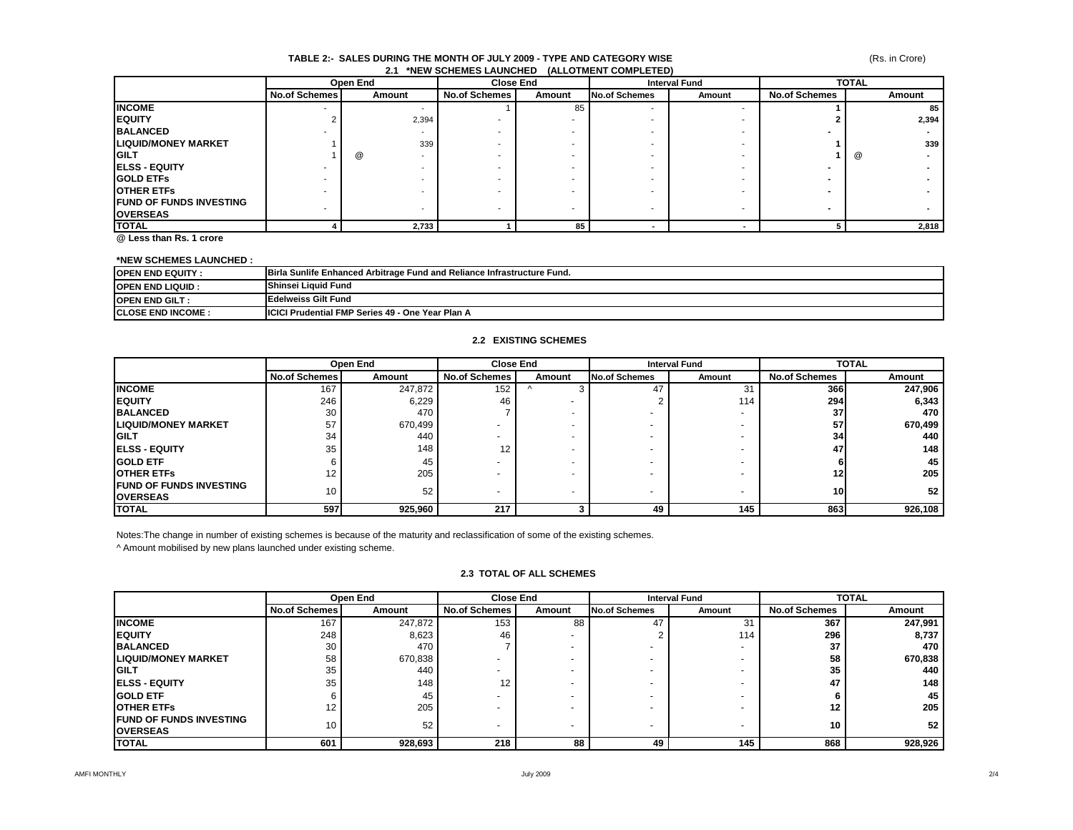#### **TABLE 2:- SALES DURING THE MONTH OF JULY 2009 - TYPE AND CATEGORY WISE 2.1 \*NEW SCHEMES LAUNCHED (ALLOTMENT COMPLETED)**

|                                 |                          | Open End |                      | <b>Close End</b><br><b>Interval Fund</b> |                          |        | <b>TOTAL</b>         |        |
|---------------------------------|--------------------------|----------|----------------------|------------------------------------------|--------------------------|--------|----------------------|--------|
|                                 | <b>No.of Schemes</b>     | Amount   | <b>No.of Schemes</b> | Amount                                   | <b>No.of Schemes</b>     | Amount | <b>No.of Schemes</b> | Amount |
| <b>INCOME</b>                   | $\overline{\phantom{a}}$ |          |                      | 85                                       | $\overline{\phantom{a}}$ |        |                      | 85     |
| <b>IEQUITY</b>                  |                          | 2,394    |                      |                                          |                          |        |                      | 2,394  |
| <b>BALANCED</b>                 |                          |          |                      |                                          |                          |        |                      |        |
| <b>LIQUID/MONEY MARKET</b>      |                          | 339      |                      |                                          |                          |        |                      | 339    |
| <b>IGILT</b>                    |                          | @        |                      |                                          |                          |        |                      | @      |
| <b>IELSS - EQUITY</b>           |                          |          |                      |                                          |                          |        |                      |        |
| <b>IGOLD ETFS</b>               |                          |          |                      |                                          |                          |        |                      |        |
| <b>OTHER ETFS</b>               |                          |          |                      |                                          |                          |        |                      |        |
| <b>IFUND OF FUNDS INVESTING</b> |                          |          |                      |                                          |                          |        | -                    |        |
| <b>OVERSEAS</b>                 |                          | ٠        |                      |                                          |                          |        |                      |        |
| <b>TOTAL</b>                    |                          | 2,733    |                      | 85                                       |                          |        |                      | 2,818  |

**@ Less than Rs. 1 crore**

#### **\*NEW SCHEMES LAUNCHED :**

| <b>IOPEN END EQUITY:</b>  | <b>Birla Sunlife Enhanced Arbitrage Fund and Reliance Infrastructure Fund.</b> |
|---------------------------|--------------------------------------------------------------------------------|
| <b>IOPEN END LIQUID :</b> | <b>Shinsei Liquid Fund</b>                                                     |
| <b>IOPEN END GILT:</b>    | Edelweiss Gilt Fund                                                            |
| <b>ICLOSE END INCOME:</b> | <b>IICICI Prudential FMP Series 49 - One Year Plan A</b>                       |

#### **2.2 EXISTING SCHEMES**

|                                                     | Open End             |         |                      | <b>Close End</b> |                      | <b>Interval Fund</b> |                      | <b>TOTAL</b> |  |
|-----------------------------------------------------|----------------------|---------|----------------------|------------------|----------------------|----------------------|----------------------|--------------|--|
|                                                     | <b>No.of Schemes</b> | Amount  | <b>No.of Schemes</b> | Amount           | <b>No.of Schemes</b> | Amount               | <b>No.of Schemes</b> | Amount       |  |
| <b>INCOME</b>                                       | 167                  | 247,872 | 152                  |                  | 47                   | 31                   | <b>366</b>           | 247,906      |  |
| <b>IEQUITY</b>                                      | 246                  | 6,229   | 46                   |                  |                      | 114                  | <b>294</b>           | 6,343        |  |
| <b>BALANCED</b>                                     | 30                   | 470     |                      |                  |                      |                      | 37                   | 470          |  |
| <b>LIQUID/MONEY MARKET</b>                          | 57                   | 670,499 |                      |                  |                      |                      | 57                   | 670,499      |  |
| <b>IGILT</b>                                        | 34                   | 440     |                      |                  |                      |                      | 34                   | 440          |  |
| <b>IELSS - EQUITY</b>                               | 35                   | 148     | 12                   |                  |                      |                      | 47                   | 148          |  |
| <b>IGOLD ETF</b>                                    |                      | 45      |                      |                  |                      |                      |                      | 45           |  |
| <b>IOTHER ETFS</b>                                  | 12                   | 205     |                      |                  |                      |                      | 12                   | 205          |  |
| <b>IFUND OF FUNDS INVESTING</b><br><b>IOVERSEAS</b> | 10                   | 52      |                      |                  | -                    |                      | 10 <sup>1</sup>      | 52           |  |
| <b>TOTAL</b>                                        | 597                  | 925,960 | 217                  |                  | 49                   | 145                  | 863                  | 926,108      |  |

Notes:The change in number of existing schemes is because of the maturity and reclassification of some of the existing schemes.

^ Amount mobilised by new plans launched under existing scheme.

#### **2.3 TOTAL OF ALL SCHEMES**

|                                 | Open End      |         |                      | Close End                | <b>Interval Fund</b>     |        | <b>TOTAL</b>         |         |
|---------------------------------|---------------|---------|----------------------|--------------------------|--------------------------|--------|----------------------|---------|
|                                 | No.of Schemes | Amount  | <b>No.of Schemes</b> | Amount                   | <b>No.of Schemes</b>     | Amount | <b>No.of Schemes</b> | Amount  |
| <b>INCOME</b>                   | 167           | 247,872 | 153                  | 88                       | 47                       | 31     | 367                  | 247,991 |
| <b>IEQUITY</b>                  | 248           | 8,623   | 46                   | $\overline{\phantom{0}}$ |                          | 114    | 296                  | 8,737   |
| <b>BALANCED</b>                 | 30            | 470     |                      | $\overline{\phantom{0}}$ |                          |        | 37                   | 470     |
| <b>LIQUID/MONEY MARKET</b>      | 58            | 670,838 |                      | $\overline{\phantom{0}}$ |                          |        | 58                   | 670,838 |
| <b>IGILT</b>                    | 35            | 440     |                      |                          |                          |        | 35                   | 440     |
| <b>IELSS - EQUITY</b>           | 35            | 148     | 12                   |                          |                          |        | 47                   | 148     |
| <b>IGOLD ETF</b>                |               | 45      |                      | $\overline{\phantom{0}}$ |                          |        |                      | 45      |
| <b>IOTHER ETFS</b>              | 12            | 205     |                      | $\overline{\phantom{0}}$ |                          |        | $12 \,$              | 205     |
| <b>IFUND OF FUNDS INVESTING</b> | 10            |         |                      |                          |                          |        | 10                   | 52      |
| <b>OVERSEAS</b>                 |               | 52      |                      | $\overline{\phantom{0}}$ | $\overline{\phantom{a}}$ |        |                      |         |
| <b>ITOTAL</b>                   | 601           | 928,693 | 218                  | 88                       | 49                       | 145    | 868                  | 928,926 |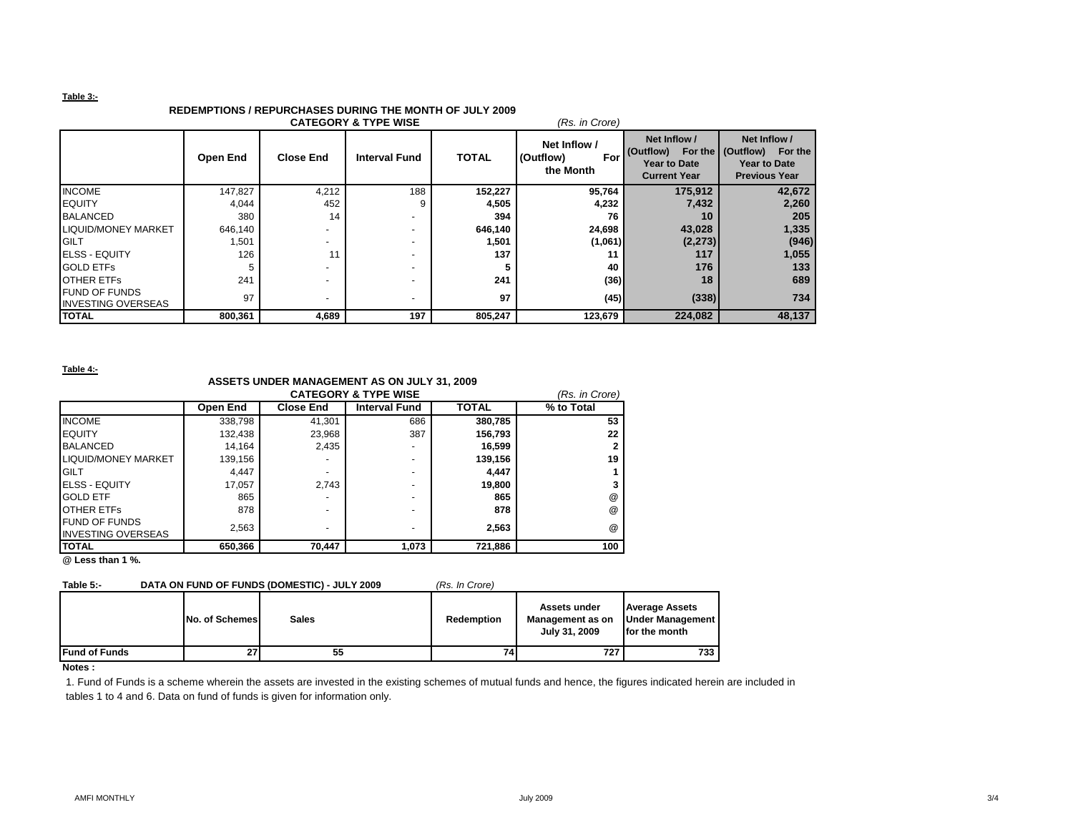#### **Table 3:-**

# **REDEMPTIONS / REPURCHASES DURING THE MONTH OF JULY 2009**

| <b>CATEGORY &amp; TYPE WISE</b><br>(Rs. in Crore) |          |                          |                      |              |                                               |                                                                         |                                                                                        |  |
|---------------------------------------------------|----------|--------------------------|----------------------|--------------|-----------------------------------------------|-------------------------------------------------------------------------|----------------------------------------------------------------------------------------|--|
|                                                   | Open End | <b>Close End</b>         | <b>Interval Fund</b> | <b>TOTAL</b> | Net Inflow /<br>(Outflow)<br>For<br>the Month | Net Inflow /<br>(Outflow)<br><b>Year to Date</b><br><b>Current Year</b> | Net Inflow /<br>For the   (Outflow)<br>For the<br>Year to Date<br><b>Previous Year</b> |  |
| <b>INCOME</b>                                     | 147,827  | 4,212                    | 188                  | 152,227      | 95,764                                        | 175,912                                                                 | 42,672                                                                                 |  |
| <b>EQUITY</b>                                     | 4,044    | 452                      |                      | 4,505        | 4,232                                         | 7,432                                                                   | 2,260                                                                                  |  |
| <b>BALANCED</b>                                   | 380      | 14                       |                      | 394          | 76                                            | 10                                                                      | 205                                                                                    |  |
| <b>LIQUID/MONEY MARKET</b>                        | 646,140  | $\overline{\phantom{a}}$ |                      | 646,140      | 24,698                                        | 43,028                                                                  | 1,335                                                                                  |  |
| <b>GILT</b>                                       | 501. ا   | $\overline{\phantom{a}}$ | -                    | 1,501        | (1,061)                                       | (2, 273)                                                                | (946)                                                                                  |  |
| <b>ELSS - EQUITY</b>                              | 126      | 11                       |                      | 137          | 11                                            | 117                                                                     | 1,055                                                                                  |  |
| <b>GOLD ETFS</b>                                  |          |                          |                      | 5            | 40                                            | 176                                                                     | 133                                                                                    |  |
| <b>OTHER ETFS</b>                                 | 241      | $\overline{\phantom{0}}$ |                      | 241          | (36)                                          | 18                                                                      | 689                                                                                    |  |
| <b>FUND OF FUNDS</b><br><b>INVESTING OVERSEAS</b> | 97       | ٠                        |                      | 97           | (45)                                          | (338)                                                                   | 734                                                                                    |  |
| <b>TOTAL</b>                                      | 800,361  | 4,689                    | 197                  | 805,247      | 123,679                                       | 224,082                                                                 | 48,137                                                                                 |  |

**Table 4:-**

## **ASSETS UNDER MANAGEMENT AS ON JULY 31, 2009**

|                           | (Rs. in Crore) |                  |                      |              |                      |
|---------------------------|----------------|------------------|----------------------|--------------|----------------------|
|                           | Open End       | <b>Close End</b> | <b>Interval Fund</b> | <b>TOTAL</b> | % to Total           |
| <b>INCOME</b>             | 338,798        | 41.301           | 686                  | 380,785      | 53                   |
| <b>EQUITY</b>             | 132,438        | 23.968           | 387                  | 156.793      | 22                   |
| <b>BALANCED</b>           | 14.164         | 2,435            | ۰                    | 16,599       |                      |
| LIQUID/MONEY MARKET       | 139,156        |                  |                      | 139,156      | 19                   |
| <b>GILT</b>               | 4.447          |                  | ۰                    | 4,447        |                      |
| <b>ELSS - EQUITY</b>      | 17,057         | 2.743            | ۰                    | 19,800       |                      |
| <b>GOLD ETF</b>           | 865            |                  | ۰                    | 865          | @                    |
| <b>OTHER ETFS</b>         | 878            |                  | -                    | 878          | $^{\textregistered}$ |
| <b>FUND OF FUNDS</b>      | 2,563          |                  | -                    | 2.563        | $^{\textregistered}$ |
| <b>INVESTING OVERSEAS</b> |                |                  |                      |              |                      |
| <b>ITOTAL</b>             | 650,366        | 70,447           | 1,073                | 721,886      | 100                  |

**@ Less than 1 %.**

### **Table 5:- DATA ON FUND OF FUNDS (DOMESTIC) - JULY 2009** *(Rs. In Crore)*

|                      | No. of Schemes | <b>Sales</b> | <b>Redemption</b> | Assets under<br>Management as on<br>July 31, 2009 | <b>Average Assets</b><br><b>Under Management  </b><br>for the month |
|----------------------|----------------|--------------|-------------------|---------------------------------------------------|---------------------------------------------------------------------|
| <b>Fund of Funds</b> | 27             | 55           |                   | 727                                               | 733                                                                 |

**Notes :**

1. Fund of Funds is a scheme wherein the assets are invested in the existing schemes of mutual funds and hence, the figures indicated herein are included in tables 1 to 4 and 6. Data on fund of funds is given for information only.